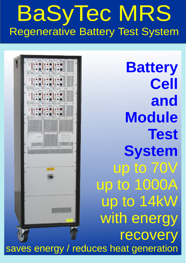## BaSyTec MRS Regenerative Battery Test System



**Battery Cell and Module Test System** up to 70V up to 1000A up to 14kW with energy recovery saves energy / reduces heat generation